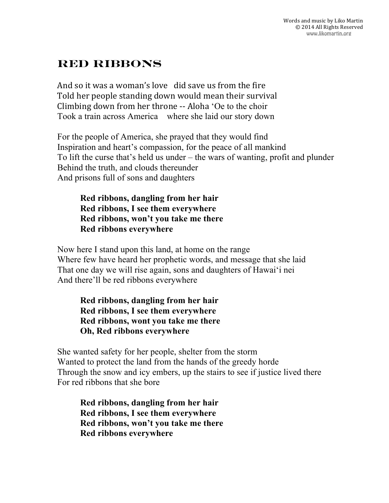## **Red Ribbons**

And so it was a woman's love  $\,$  did save us from the fire Told her people standing down would mean their survival Climbing down from her throne -- Aloha 'Oe to the choir Took a train across America where she laid our story down

For the people of America, she prayed that they would find Inspiration and heart's compassion, for the peace of all mankind To lift the curse that's held us under – the wars of wanting, profit and plunder Behind the truth, and clouds thereunder And prisons full of sons and daughters

**Red ribbons, dangling from her hair Red ribbons, I see them everywhere Red ribbons, won't you take me there Red ribbons everywhere**

Now here I stand upon this land, at home on the range Where few have heard her prophetic words, and message that she laid That one day we will rise again, sons and daughters of Hawaiʻi nei And there'll be red ribbons everywhere

**Red ribbons, dangling from her hair Red ribbons, I see them everywhere Red ribbons, wont you take me there Oh, Red ribbons everywhere**

She wanted safety for her people, shelter from the storm Wanted to protect the land from the hands of the greedy horde Through the snow and icy embers, up the stairs to see if justice lived there For red ribbons that she bore

**Red ribbons, dangling from her hair Red ribbons, I see them everywhere Red ribbons, won't you take me there Red ribbons everywhere**